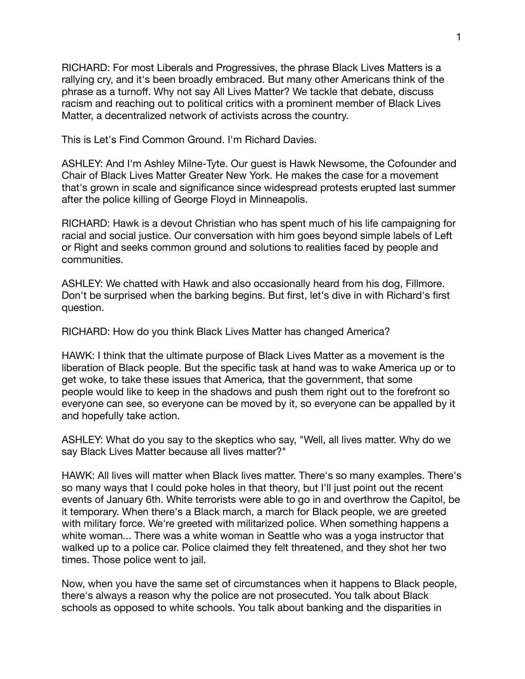RICHARD: For most Liberals and Progressives, the phrase Black Lives Matters is a rallying cry, and it's been broadly embraced. But many other Americans think of the phrase as a turnoff. Why not say All Lives Matter? We tackle that debate, discuss racism and reaching out to political critics with a prominent member of Black Lives Matter, a decentralized network of activists across the country.

This is Let's Find Common Ground. I'm Richard Davies.

ASHLEY: And I'm Ashley Milne-Tyte. Our guest is Hawk Newsome, the Cofounder and Chair of Black Lives Matter Greater New York. He makes the case for a movement that's grown in scale and significance since widespread protests erupted last summer after the police killing of George Floyd in Minneapolis.

RICHARD: Hawk is a devout Christian who has spent much of his life campaigning for racial and social justice. Our conversation with him goes beyond simple labels of Left or Right and seeks common ground and solutions to realities faced by people and communities.

ASHLEY: We chatted with Hawk and also occasionally heard from his dog, Fillmore. Don't be surprised when the barking begins. But first, let's dive in with Richard's first question.

RICHARD: How do you think Black Lives Matter has changed America?

HAWK: I think that the ultimate purpose of Black Lives Matter as a movement is the liberation of Black people. But the specific task at hand was to wake America up or to get woke, to take these issues that America, that the government, that some people would like to keep in the shadows and push them right out to the forefront so everyone can see, so everyone can be moved by it, so everyone can be appalled by it and hopefully take action.

ASHLEY: What do you say to the skeptics who say, "Well, all lives matter. Why do we say Black Lives Matter because all lives matter?"

HAWK: All lives will matter when Black lives matter. There's so many examples. There's so many ways that I could poke holes in that theory, but I'll just point out the recent events of January 6th. White terrorists were able to go in and overthrow the Capitol, be it temporary. When there's a Black march, a march for Black people, we are greeted with military force. We're greeted with militarized police. When something happens a white woman... There was a white woman in Seattle who was a yoga instructor that walked up to a police car. Police claimed they felt threatened, and they shot her two times. Those police went to jail.

Now, when you have the same set of circumstances when it happens to Black people, there's always a reason why the police are not prosecuted. You talk about Black schools as opposed to white schools. You talk about banking and the disparities in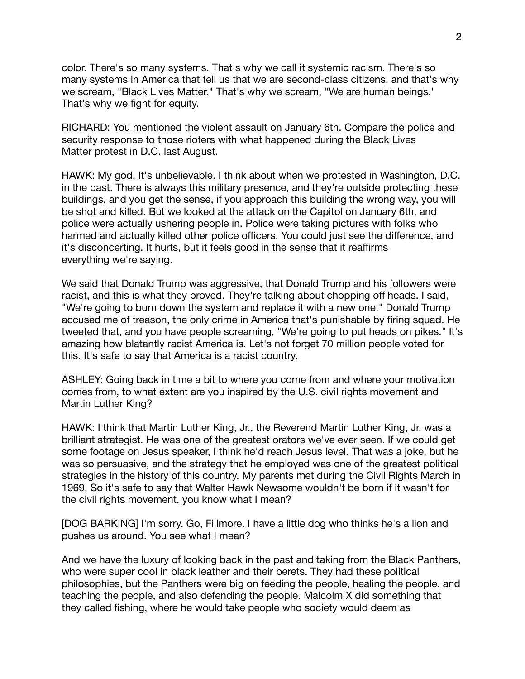color. There's so many systems. That's why we call it systemic racism. There's so many systems in America that tell us that we are second-class citizens, and that's why we scream, "Black Lives Matter." That's why we scream, "We are human beings." That's why we fight for equity.

RICHARD: You mentioned the violent assault on January 6th. Compare the police and security response to those rioters with what happened during the Black Lives Matter protest in D.C. last August.

HAWK: My god. It's unbelievable. I think about when we protested in Washington, D.C. in the past. There is always this military presence, and they're outside protecting these buildings, and you get the sense, if you approach this building the wrong way, you will be shot and killed. But we looked at the attack on the Capitol on January 6th, and police were actually ushering people in. Police were taking pictures with folks who harmed and actually killed other police officers. You could just see the difference, and it's disconcerting. It hurts, but it feels good in the sense that it reaffirms everything we're saying.

We said that Donald Trump was aggressive, that Donald Trump and his followers were racist, and this is what they proved. They're talking about chopping off heads. I said, "We're going to burn down the system and replace it with a new one." Donald Trump accused me of treason, the only crime in America that's punishable by firing squad. He tweeted that, and you have people screaming, "We're going to put heads on pikes." It's amazing how blatantly racist America is. Let's not forget 70 million people voted for this. It's safe to say that America is a racist country.

ASHLEY: Going back in time a bit to where you come from and where your motivation comes from, to what extent are you inspired by the U.S. civil rights movement and Martin Luther King?

HAWK: I think that Martin Luther King, Jr., the Reverend Martin Luther King, Jr. was a brilliant strategist. He was one of the greatest orators we've ever seen. If we could get some footage on Jesus speaker, I think he'd reach Jesus level. That was a joke, but he was so persuasive, and the strategy that he employed was one of the greatest political strategies in the history of this country. My parents met during the Civil Rights March in 1969. So it's safe to say that Walter Hawk Newsome wouldn't be born if it wasn't for the civil rights movement, you know what I mean?

[DOG BARKING] I'm sorry. Go, Fillmore. I have a little dog who thinks he's a lion and pushes us around. You see what I mean?

And we have the luxury of looking back in the past and taking from the Black Panthers, who were super cool in black leather and their berets. They had these political philosophies, but the Panthers were big on feeding the people, healing the people, and teaching the people, and also defending the people. Malcolm X did something that they called fishing, where he would take people who society would deem as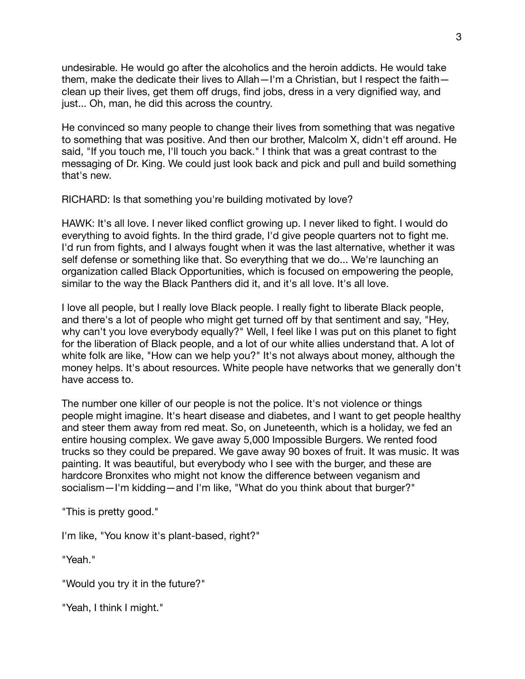undesirable. He would go after the alcoholics and the heroin addicts. He would take them, make the dedicate their lives to Allah—I'm a Christian, but I respect the faith clean up their lives, get them off drugs, find jobs, dress in a very dignified way, and just... Oh, man, he did this across the country.

He convinced so many people to change their lives from something that was negative to something that was positive. And then our brother, Malcolm X, didn't eff around. He said, "If you touch me, I'll touch you back." I think that was a great contrast to the messaging of Dr. King. We could just look back and pick and pull and build something that's new.

RICHARD: Is that something you're building motivated by love?

HAWK: It's all love. I never liked conflict growing up. I never liked to fight. I would do everything to avoid fights. In the third grade, I'd give people quarters not to fight me. I'd run from fights, and I always fought when it was the last alternative, whether it was self defense or something like that. So everything that we do... We're launching an organization called Black Opportunities, which is focused on empowering the people, similar to the way the Black Panthers did it, and it's all love. It's all love.

I love all people, but I really love Black people. I really fight to liberate Black people, and there's a lot of people who might get turned off by that sentiment and say, "Hey, why can't you love everybody equally?" Well, I feel like I was put on this planet to fight for the liberation of Black people, and a lot of our white allies understand that. A lot of white folk are like, "How can we help you?" It's not always about money, although the money helps. It's about resources. White people have networks that we generally don't have access to.

The number one killer of our people is not the police. It's not violence or things people might imagine. It's heart disease and diabetes, and I want to get people healthy and steer them away from red meat. So, on Juneteenth, which is a holiday, we fed an entire housing complex. We gave away 5,000 Impossible Burgers. We rented food trucks so they could be prepared. We gave away 90 boxes of fruit. It was music. It was painting. It was beautiful, but everybody who I see with the burger, and these are hardcore Bronxites who might not know the difference between veganism and socialism—I'm kidding—and I'm like, "What do you think about that burger?"

"This is pretty good."

I'm like, "You know it's plant-based, right?"

"Yeah."

"Would you try it in the future?"

"Yeah, I think I might."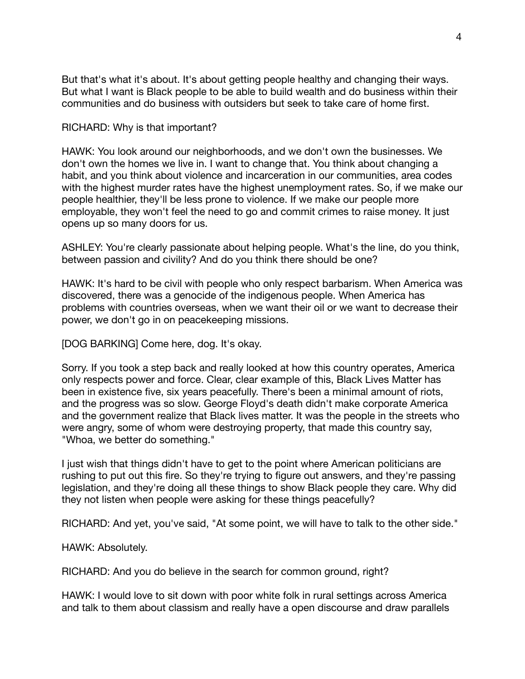But that's what it's about. It's about getting people healthy and changing their ways. But what I want is Black people to be able to build wealth and do business within their communities and do business with outsiders but seek to take care of home first.

RICHARD: Why is that important?

HAWK: You look around our neighborhoods, and we don't own the businesses. We don't own the homes we live in. I want to change that. You think about changing a habit, and you think about violence and incarceration in our communities, area codes with the highest murder rates have the highest unemployment rates. So, if we make our people healthier, they'll be less prone to violence. If we make our people more employable, they won't feel the need to go and commit crimes to raise money. It just opens up so many doors for us.

ASHLEY: You're clearly passionate about helping people. What's the line, do you think, between passion and civility? And do you think there should be one?

HAWK: It's hard to be civil with people who only respect barbarism. When America was discovered, there was a genocide of the indigenous people. When America has problems with countries overseas, when we want their oil or we want to decrease their power, we don't go in on peacekeeping missions.

[DOG BARKING] Come here, dog. It's okay.

Sorry. If you took a step back and really looked at how this country operates, America only respects power and force. Clear, clear example of this, Black Lives Matter has been in existence five, six years peacefully. There's been a minimal amount of riots, and the progress was so slow. George Floyd's death didn't make corporate America and the government realize that Black lives matter. It was the people in the streets who were angry, some of whom were destroying property, that made this country say, "Whoa, we better do something."

I just wish that things didn't have to get to the point where American politicians are rushing to put out this fire. So they're trying to figure out answers, and they're passing legislation, and they're doing all these things to show Black people they care. Why did they not listen when people were asking for these things peacefully?

RICHARD: And yet, you've said, "At some point, we will have to talk to the other side."

HAWK: Absolutely.

RICHARD: And you do believe in the search for common ground, right?

HAWK: I would love to sit down with poor white folk in rural settings across America and talk to them about classism and really have a open discourse and draw parallels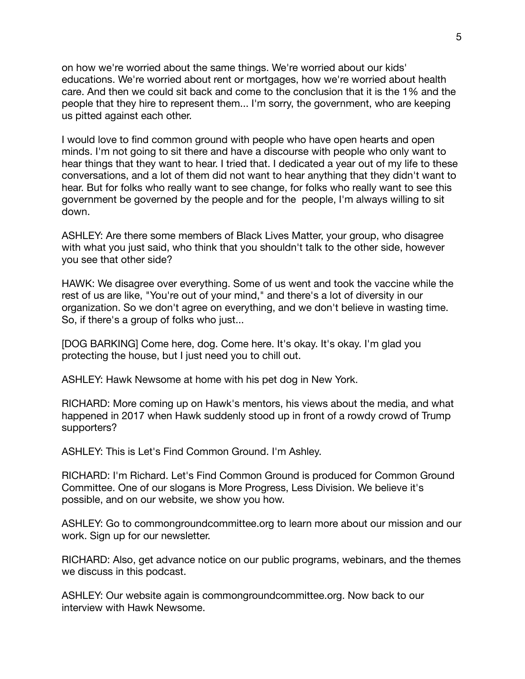on how we're worried about the same things. We're worried about our kids' educations. We're worried about rent or mortgages, how we're worried about health care. And then we could sit back and come to the conclusion that it is the 1% and the people that they hire to represent them... I'm sorry, the government, who are keeping us pitted against each other.

I would love to find common ground with people who have open hearts and open minds. I'm not going to sit there and have a discourse with people who only want to hear things that they want to hear. I tried that. I dedicated a year out of my life to these conversations, and a lot of them did not want to hear anything that they didn't want to hear. But for folks who really want to see change, for folks who really want to see this government be governed by the people and for the people, I'm always willing to sit down.

ASHLEY: Are there some members of Black Lives Matter, your group, who disagree with what you just said, who think that you shouldn't talk to the other side, however you see that other side?

HAWK: We disagree over everything. Some of us went and took the vaccine while the rest of us are like, "You're out of your mind," and there's a lot of diversity in our organization. So we don't agree on everything, and we don't believe in wasting time. So, if there's a group of folks who just...

[DOG BARKING] Come here, dog. Come here. It's okay. It's okay. I'm glad you protecting the house, but I just need you to chill out.

ASHLEY: Hawk Newsome at home with his pet dog in New York.

RICHARD: More coming up on Hawk's mentors, his views about the media, and what happened in 2017 when Hawk suddenly stood up in front of a rowdy crowd of Trump supporters?

ASHLEY: This is Let's Find Common Ground. I'm Ashley.

RICHARD: I'm Richard. Let's Find Common Ground is produced for Common Ground Committee. One of our slogans is More Progress, Less Division. We believe it's possible, and on our website, we show you how.

ASHLEY: Go to commongroundcommittee.org to learn more about our mission and our work. Sign up for our newsletter.

RICHARD: Also, get advance notice on our public programs, webinars, and the themes we discuss in this podcast.

ASHLEY: Our website again is commongroundcommittee.org. Now back to our interview with Hawk Newsome.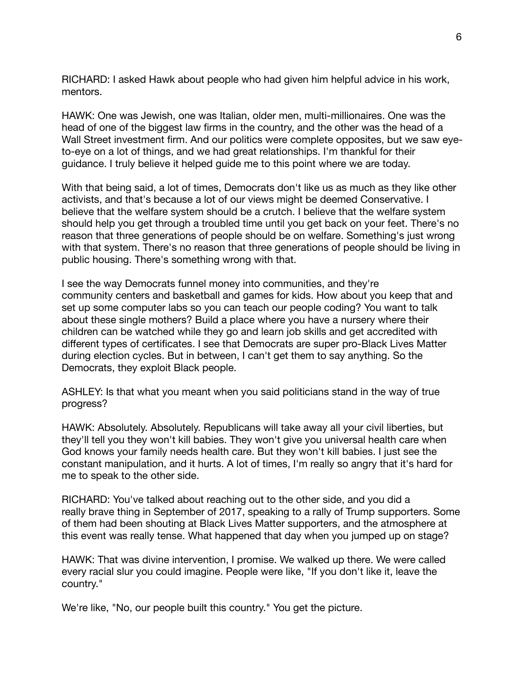RICHARD: I asked Hawk about people who had given him helpful advice in his work, mentors.

HAWK: One was Jewish, one was Italian, older men, multi-millionaires. One was the head of one of the biggest law firms in the country, and the other was the head of a Wall Street investment firm. And our politics were complete opposites, but we saw eyeto-eye on a lot of things, and we had great relationships. I'm thankful for their guidance. I truly believe it helped guide me to this point where we are today.

With that being said, a lot of times, Democrats don't like us as much as they like other activists, and that's because a lot of our views might be deemed Conservative. I believe that the welfare system should be a crutch. I believe that the welfare system should help you get through a troubled time until you get back on your feet. There's no reason that three generations of people should be on welfare. Something's just wrong with that system. There's no reason that three generations of people should be living in public housing. There's something wrong with that.

I see the way Democrats funnel money into communities, and they're community centers and basketball and games for kids. How about you keep that and set up some computer labs so you can teach our people coding? You want to talk about these single mothers? Build a place where you have a nursery where their children can be watched while they go and learn job skills and get accredited with different types of certificates. I see that Democrats are super pro-Black Lives Matter during election cycles. But in between, I can't get them to say anything. So the Democrats, they exploit Black people.

ASHLEY: Is that what you meant when you said politicians stand in the way of true progress?

HAWK: Absolutely. Absolutely. Republicans will take away all your civil liberties, but they'll tell you they won't kill babies. They won't give you universal health care when God knows your family needs health care. But they won't kill babies. I just see the constant manipulation, and it hurts. A lot of times, I'm really so angry that it's hard for me to speak to the other side.

RICHARD: You've talked about reaching out to the other side, and you did a really brave thing in September of 2017, speaking to a rally of Trump supporters. Some of them had been shouting at Black Lives Matter supporters, and the atmosphere at this event was really tense. What happened that day when you jumped up on stage?

HAWK: That was divine intervention, I promise. We walked up there. We were called every racial slur you could imagine. People were like, "If you don't like it, leave the country."

We're like, "No, our people built this country." You get the picture.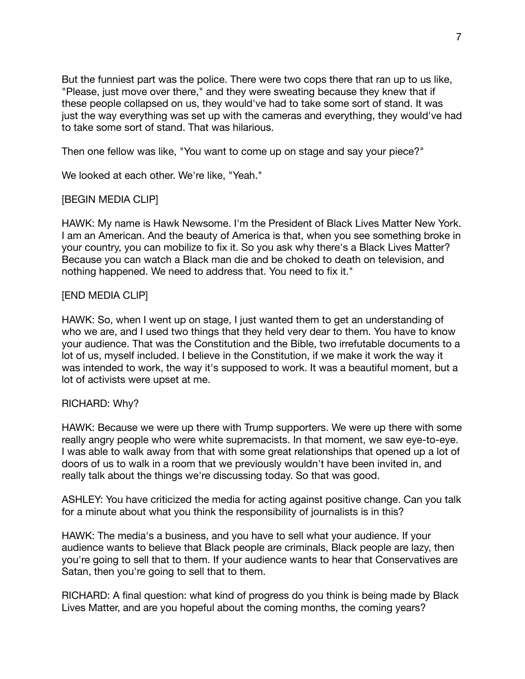But the funniest part was the police. There were two cops there that ran up to us like, "Please, just move over there," and they were sweating because they knew that if these people collapsed on us, they would've had to take some sort of stand. It was just the way everything was set up with the cameras and everything, they would've had to take some sort of stand. That was hilarious.

Then one fellow was like, "You want to come up on stage and say your piece?"

We looked at each other. We're like, "Yeah."

## [BEGIN MEDIA CLIP]

HAWK: My name is Hawk Newsome. I'm the President of Black Lives Matter New York. I am an American. And the beauty of America is that, when you see something broke in your country, you can mobilize to fix it. So you ask why there's a Black Lives Matter? Because you can watch a Black man die and be choked to death on television, and nothing happened. We need to address that. You need to fix it."

## [END MEDIA CLIP]

HAWK: So, when I went up on stage, I just wanted them to get an understanding of who we are, and I used two things that they held very dear to them. You have to know your audience. That was the Constitution and the Bible, two irrefutable documents to a lot of us, myself included. I believe in the Constitution, if we make it work the way it was intended to work, the way it's supposed to work. It was a beautiful moment, but a lot of activists were upset at me.

## RICHARD: Why?

HAWK: Because we were up there with Trump supporters. We were up there with some really angry people who were white supremacists. In that moment, we saw eye-to-eye. I was able to walk away from that with some great relationships that opened up a lot of doors of us to walk in a room that we previously wouldn't have been invited in, and really talk about the things we're discussing today. So that was good.

ASHLEY: You have criticized the media for acting against positive change. Can you talk for a minute about what you think the responsibility of journalists is in this?

HAWK: The media's a business, and you have to sell what your audience. If your audience wants to believe that Black people are criminals, Black people are lazy, then you're going to sell that to them. If your audience wants to hear that Conservatives are Satan, then you're going to sell that to them.

RICHARD: A final question: what kind of progress do you think is being made by Black Lives Matter, and are you hopeful about the coming months, the coming years?